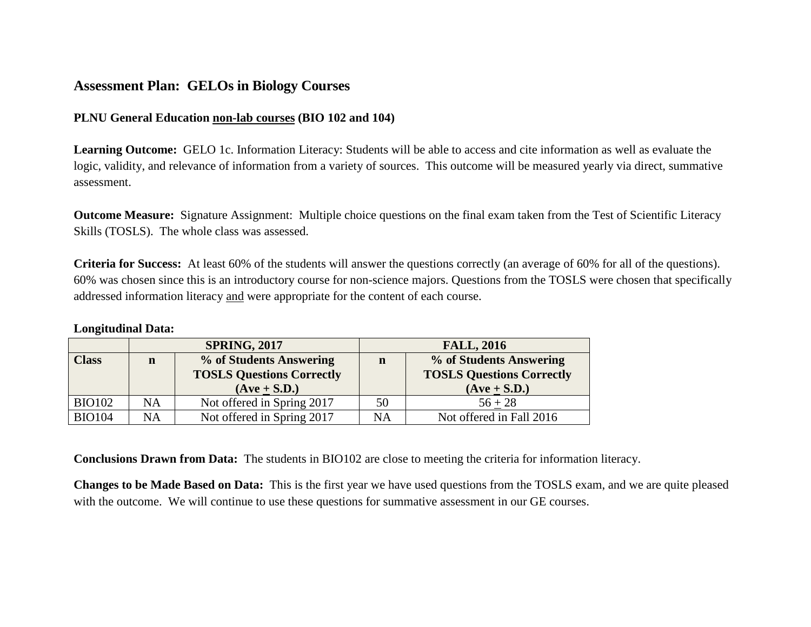## **Assessment Plan: GELOs in Biology Courses**

## **PLNU General Education non-lab courses (BIO 102 and 104)**

**Learning Outcome:**GELO 1c. Information Literacy: Students will be able to access and cite information as well as evaluate the logic, validity, and relevance of information from a variety of sources. This outcome will be measured yearly via direct, summative assessment.

**Outcome Measure:** Signature Assignment: Multiple choice questions on the final exam taken from the Test of Scientific Literacy Skills (TOSLS). The whole class was assessed.

**Criteria for Success:** At least 60% of the students will answer the questions correctly (an average of 60% for all of the questions). 60% was chosen since this is an introductory course for non-science majors. Questions from the TOSLS were chosen that specifically addressed information literacy and were appropriate for the content of each course.

## **Longitudinal Data:**

|               | <b>SPRING, 2017</b> |                                                             | <b>FALL, 2016</b> |                                                             |
|---------------|---------------------|-------------------------------------------------------------|-------------------|-------------------------------------------------------------|
| <b>Class</b>  | n                   | % of Students Answering<br><b>TOSLS Questions Correctly</b> | n                 | % of Students Answering<br><b>TOSLS Questions Correctly</b> |
|               |                     | $(Ave + S.D.)$                                              |                   | $(Ave + S.D.)$                                              |
| <b>BIO102</b> | NA                  | Not offered in Spring 2017                                  | 50                | $56 + 28$                                                   |
| <b>BIO104</b> | NA                  | Not offered in Spring 2017                                  | NΑ                | Not offered in Fall 2016                                    |

**Conclusions Drawn from Data:** The students in BIO102 are close to meeting the criteria for information literacy.

**Changes to be Made Based on Data:** This is the first year we have used questions from the TOSLS exam, and we are quite pleased with the outcome. We will continue to use these questions for summative assessment in our GE courses.